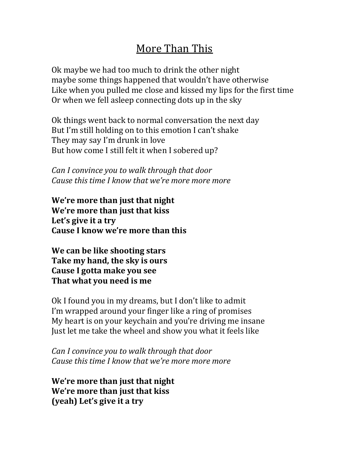## More Than This

Ok maybe we had too much to drink the other night maybe some things happened that wouldn't have otherwise Like when you pulled me close and kissed my lips for the first time Or when we fell asleep connecting dots up in the sky

Ok things went back to normal conversation the next day But I'm still holding on to this emotion I can't shake They may say I'm drunk in love But how come I still felt it when I sobered up?

*Can I convince you to walk through that door Cause this time I know that we're more more more* 

We're more than just that night **We're more than just that kiss** Let's give it a try Cause I know we're more than this

**We can be like shooting stars Take my hand, the sky is ours Cause I gotta make you see** That what you need is me

Ok I found you in my dreams, but I don't like to admit I'm wrapped around your finger like a ring of promises My heart is on your keychain and you're driving me insane Just let me take the wheel and show you what it feels like

*Can I convince you to walk through that door Cause this time I know that we're more more more* 

We're more than just that night **We're more than just that kiss (yeah)** Let's give it a try